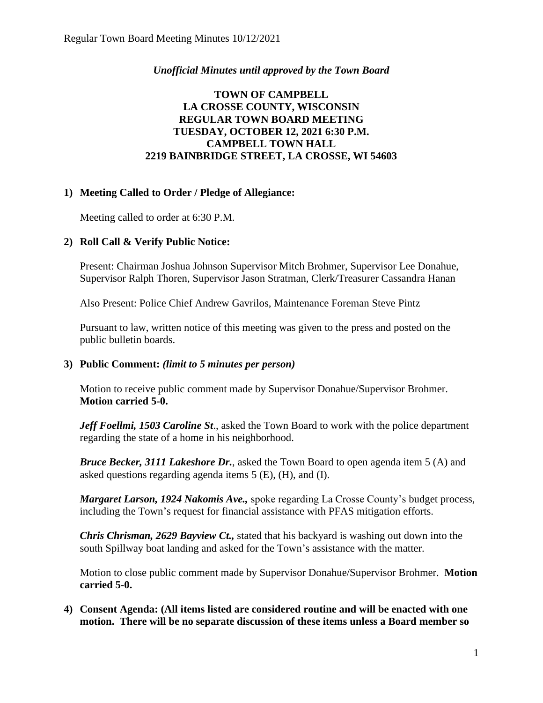## *Unofficial Minutes until approved by the Town Board*

## **TOWN OF CAMPBELL LA CROSSE COUNTY, WISCONSIN REGULAR TOWN BOARD MEETING TUESDAY, OCTOBER 12, 2021 6:30 P.M. CAMPBELL TOWN HALL 2219 BAINBRIDGE STREET, LA CROSSE, WI 54603**

## **1) Meeting Called to Order / Pledge of Allegiance:**

Meeting called to order at 6:30 P.M.

# **2) Roll Call & Verify Public Notice:**

Present: Chairman Joshua Johnson Supervisor Mitch Brohmer, Supervisor Lee Donahue, Supervisor Ralph Thoren, Supervisor Jason Stratman, Clerk/Treasurer Cassandra Hanan

Also Present: Police Chief Andrew Gavrilos, Maintenance Foreman Steve Pintz

Pursuant to law, written notice of this meeting was given to the press and posted on the public bulletin boards.

## **3) Public Comment:** *(limit to 5 minutes per person)*

Motion to receive public comment made by Supervisor Donahue/Supervisor Brohmer. **Motion carried 5-0.**

*Jeff Foellmi, 1503 Caroline St*., asked the Town Board to work with the police department regarding the state of a home in his neighborhood.

*Bruce Becker, 3111 Lakeshore Dr.*, asked the Town Board to open agenda item 5 (A) and asked questions regarding agenda items 5 (E), (H), and (I).

*Margaret Larson, 1924 Nakomis Ave.,* spoke regarding La Crosse County's budget process, including the Town's request for financial assistance with PFAS mitigation efforts.

*Chris Chrisman, 2629 Bayview Ct.,* stated that his backyard is washing out down into the south Spillway boat landing and asked for the Town's assistance with the matter.

Motion to close public comment made by Supervisor Donahue/Supervisor Brohmer. **Motion carried 5-0.**

**4) Consent Agenda: (All items listed are considered routine and will be enacted with one motion. There will be no separate discussion of these items unless a Board member so**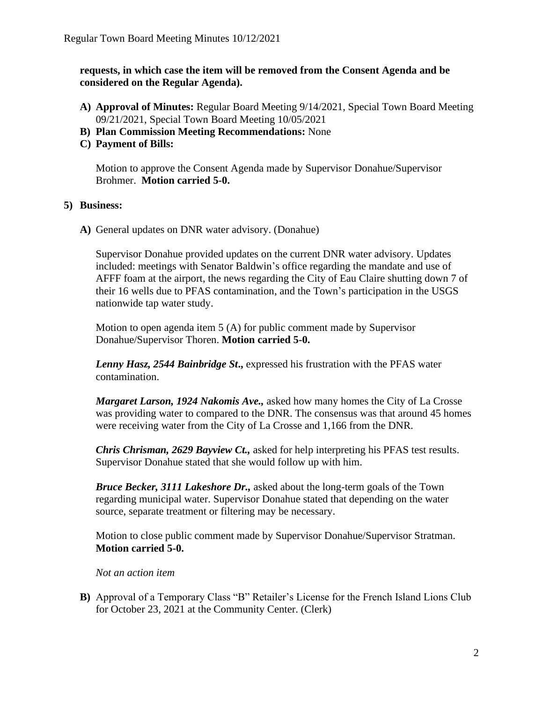**requests, in which case the item will be removed from the Consent Agenda and be considered on the Regular Agenda).**

- **A) Approval of Minutes:** Regular Board Meeting 9/14/2021, Special Town Board Meeting 09/21/2021, Special Town Board Meeting 10/05/2021
- **B) Plan Commission Meeting Recommendations:** None
- **C) Payment of Bills:**

Motion to approve the Consent Agenda made by Supervisor Donahue/Supervisor Brohmer. **Motion carried 5-0.** 

#### **5) Business:**

**A)** General updates on DNR water advisory. (Donahue)

Supervisor Donahue provided updates on the current DNR water advisory. Updates included: meetings with Senator Baldwin's office regarding the mandate and use of AFFF foam at the airport, the news regarding the City of Eau Claire shutting down 7 of their 16 wells due to PFAS contamination, and the Town's participation in the USGS nationwide tap water study.

Motion to open agenda item 5 (A) for public comment made by Supervisor Donahue/Supervisor Thoren. **Motion carried 5-0.**

*Lenny Hasz, 2544 Bainbridge St***.,** expressed his frustration with the PFAS water contamination.

*Margaret Larson, 1924 Nakomis Ave.,* asked how many homes the City of La Crosse was providing water to compared to the DNR. The consensus was that around 45 homes were receiving water from the City of La Crosse and 1,166 from the DNR.

*Chris Chrisman, 2629 Bayview Ct.,* asked for help interpreting his PFAS test results. Supervisor Donahue stated that she would follow up with him.

*Bruce Becker, 3111 Lakeshore Dr.,* asked about the long-term goals of the Town regarding municipal water. Supervisor Donahue stated that depending on the water source, separate treatment or filtering may be necessary.

Motion to close public comment made by Supervisor Donahue/Supervisor Stratman. **Motion carried 5-0.**

*Not an action item*

**B)** Approval of a Temporary Class "B" Retailer's License for the French Island Lions Club for October 23, 2021 at the Community Center. (Clerk)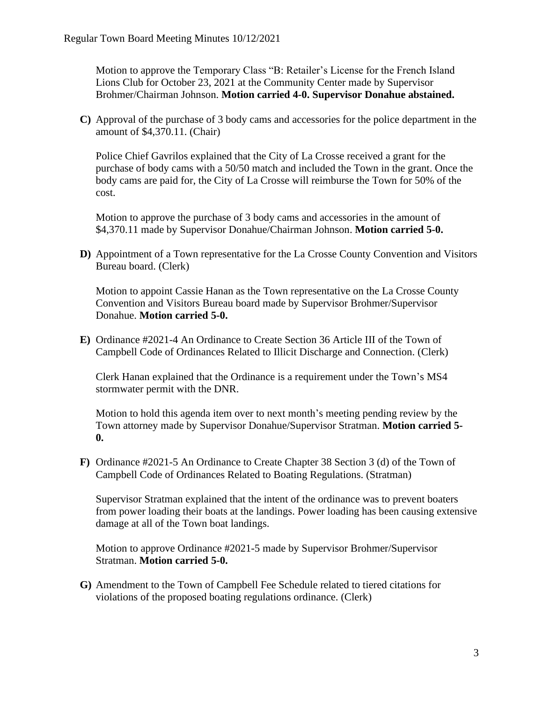Motion to approve the Temporary Class "B: Retailer's License for the French Island Lions Club for October 23, 2021 at the Community Center made by Supervisor Brohmer/Chairman Johnson. **Motion carried 4-0. Supervisor Donahue abstained.** 

**C)** Approval of the purchase of 3 body cams and accessories for the police department in the amount of \$4,370.11. (Chair)

Police Chief Gavrilos explained that the City of La Crosse received a grant for the purchase of body cams with a 50/50 match and included the Town in the grant. Once the body cams are paid for, the City of La Crosse will reimburse the Town for 50% of the cost.

Motion to approve the purchase of 3 body cams and accessories in the amount of \$4,370.11 made by Supervisor Donahue/Chairman Johnson. **Motion carried 5-0.**

**D)** Appointment of a Town representative for the La Crosse County Convention and Visitors Bureau board. (Clerk)

Motion to appoint Cassie Hanan as the Town representative on the La Crosse County Convention and Visitors Bureau board made by Supervisor Brohmer/Supervisor Donahue. **Motion carried 5-0.** 

**E)** Ordinance #2021-4 An Ordinance to Create Section 36 Article III of the Town of Campbell Code of Ordinances Related to Illicit Discharge and Connection. (Clerk)

Clerk Hanan explained that the Ordinance is a requirement under the Town's MS4 stormwater permit with the DNR.

Motion to hold this agenda item over to next month's meeting pending review by the Town attorney made by Supervisor Donahue/Supervisor Stratman. **Motion carried 5- 0.**

**F)** Ordinance #2021-5 An Ordinance to Create Chapter 38 Section 3 (d) of the Town of Campbell Code of Ordinances Related to Boating Regulations. (Stratman)

Supervisor Stratman explained that the intent of the ordinance was to prevent boaters from power loading their boats at the landings. Power loading has been causing extensive damage at all of the Town boat landings.

Motion to approve Ordinance #2021-5 made by Supervisor Brohmer/Supervisor Stratman. **Motion carried 5-0.** 

**G)** Amendment to the Town of Campbell Fee Schedule related to tiered citations for violations of the proposed boating regulations ordinance. (Clerk)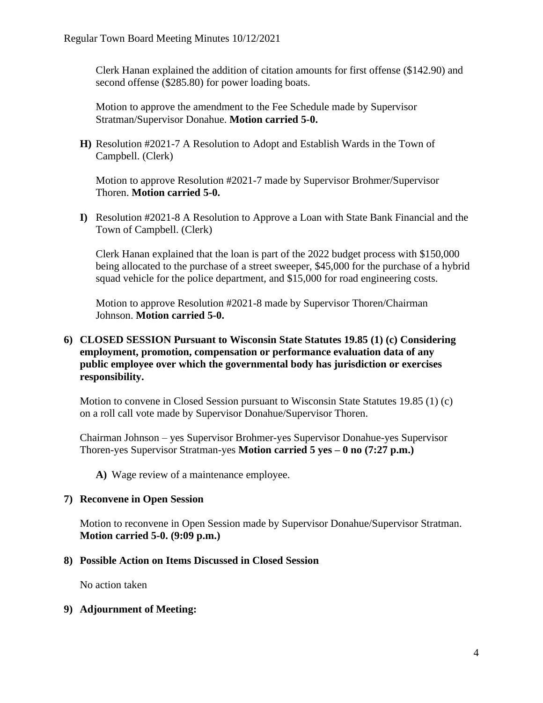Clerk Hanan explained the addition of citation amounts for first offense (\$142.90) and second offense (\$285.80) for power loading boats.

Motion to approve the amendment to the Fee Schedule made by Supervisor Stratman/Supervisor Donahue. **Motion carried 5-0.**

**H)** Resolution #2021-7 A Resolution to Adopt and Establish Wards in the Town of Campbell. (Clerk)

Motion to approve Resolution #2021-7 made by Supervisor Brohmer/Supervisor Thoren. **Motion carried 5-0.** 

**I)** Resolution #2021-8 A Resolution to Approve a Loan with State Bank Financial and the Town of Campbell. (Clerk)

Clerk Hanan explained that the loan is part of the 2022 budget process with \$150,000 being allocated to the purchase of a street sweeper, \$45,000 for the purchase of a hybrid squad vehicle for the police department, and \$15,000 for road engineering costs.

Motion to approve Resolution #2021-8 made by Supervisor Thoren/Chairman Johnson. **Motion carried 5-0.**

### **6) CLOSED SESSION Pursuant to Wisconsin State Statutes 19.85 (1) (c) Considering employment, promotion, compensation or performance evaluation data of any public employee over which the governmental body has jurisdiction or exercises responsibility.**

Motion to convene in Closed Session pursuant to Wisconsin State Statutes 19.85 (1) (c) on a roll call vote made by Supervisor Donahue/Supervisor Thoren.

Chairman Johnson – yes Supervisor Brohmer-yes Supervisor Donahue-yes Supervisor Thoren-yes Supervisor Stratman-yes **Motion carried 5 yes – 0 no (7:27 p.m.)**

**A)** Wage review of a maintenance employee.

#### **7) Reconvene in Open Session**

Motion to reconvene in Open Session made by Supervisor Donahue/Supervisor Stratman. **Motion carried 5-0. (9:09 p.m.)**

#### **8) Possible Action on Items Discussed in Closed Session**

No action taken

#### **9) Adjournment of Meeting:**